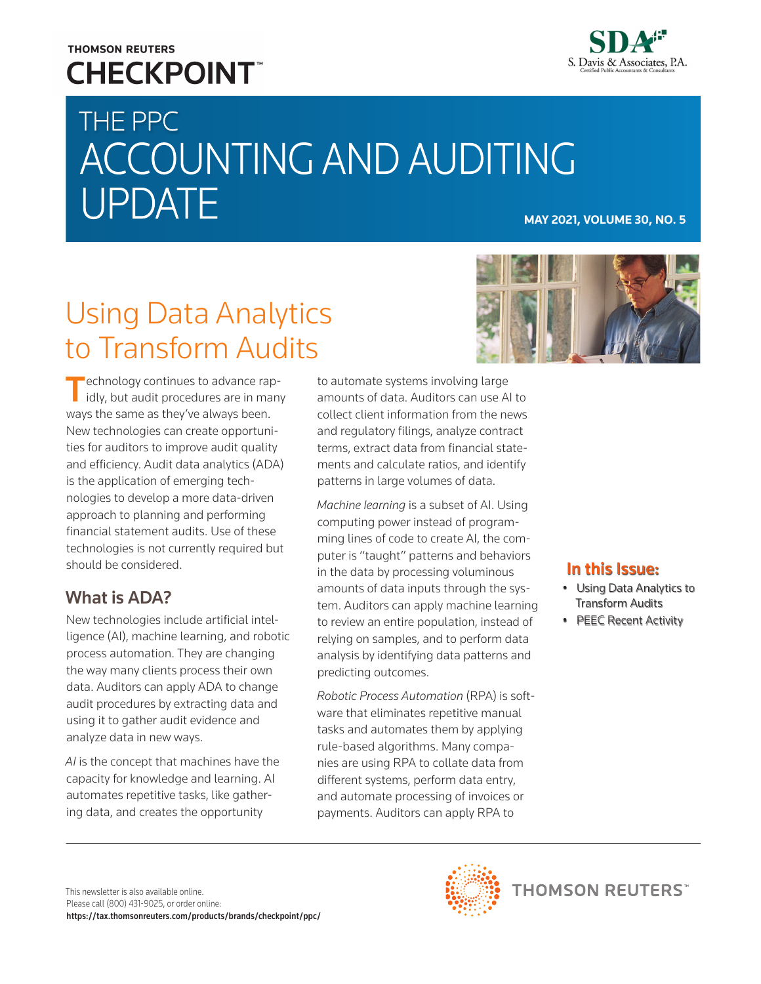## **THOMSON REUTERS CHECKPOINT**



# THE PPC ACCOUNTING AND AUDITING **UPDATE**

## Using Data Analytics to Transform Audits



Technology continues to advance rap-<br>idly, but audit procedures are in many ways the same as they've always been. New technologies can create opportunities for auditors to improve audit quality and efficiency. Audit data analytics (ADA) is the application of emerging technologies to develop a more data-driven approach to planning and performing financial statement audits. Use of these technologies is not currently required but should be considered.

## What is ADA?

New technologies include artificial intelligence (AI), machine learning, and robotic process automation. They are changing the way many clients process their own data. Auditors can apply ADA to change audit procedures by extracting data and using it to gather audit evidence and analyze data in new ways.

*AI* is the concept that machines have the capacity for knowledge and learning. AI automates repetitive tasks, like gathering data, and creates the opportunity

to automate systems involving large amounts of data. Auditors can use AI to collect client information from the news and regulatory filings, analyze contract terms, extract data from financial statements and calculate ratios, and identify patterns in large volumes of data.

*Machine learning* is a subset of AI. Using computing power instead of programming lines of code to create AI, the computer is "taught" patterns and behaviors in the data by processing voluminous amounts of data inputs through the system. Auditors can apply machine learning to review an entire population, instead of relying on samples, and to perform data analysis by identifying data patterns and predicting outcomes.

*Robotic Process Automation* (RPA) is software that eliminates repetitive manual tasks and automates them by applying rule-based algorithms. Many companies are using RPA to collate data from different systems, perform data entry, and automate processing of invoices or payments. Auditors can apply RPA to

#### In this Issue:

- Using Data Analytics to Transform Audits
- PEEC Recent Activity

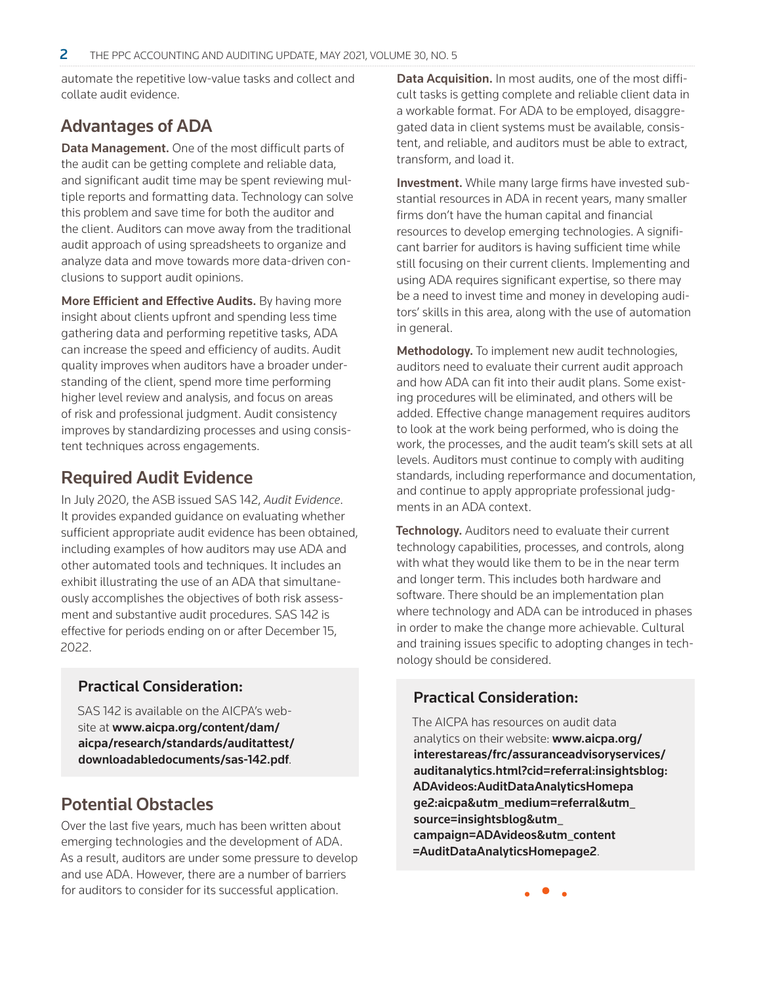automate the repetitive low-value tasks and collect and collate audit evidence.

#### Advantages of ADA

Data Management. One of the most difficult parts of the audit can be getting complete and reliable data, and significant audit time may be spent reviewing multiple reports and formatting data. Technology can solve this problem and save time for both the auditor and the client. Auditors can move away from the traditional audit approach of using spreadsheets to organize and analyze data and move towards more data-driven conclusions to support audit opinions.

More Efficient and Effective Audits. By having more insight about clients upfront and spending less time gathering data and performing repetitive tasks, ADA can increase the speed and efficiency of audits. Audit quality improves when auditors have a broader understanding of the client, spend more time performing higher level review and analysis, and focus on areas of risk and professional judgment. Audit consistency improves by standardizing processes and using consistent techniques across engagements.

#### Required Audit Evidence

In July 2020, the ASB issued SAS 142, *Audit Evidence*. It provides expanded guidance on evaluating whether sufficient appropriate audit evidence has been obtained, including examples of how auditors may use ADA and other automated tools and techniques. It includes an exhibit illustrating the use of an ADA that simultaneously accomplishes the objectives of both risk assessment and substantive audit procedures. SAS 142 is effective for periods ending on or after December 15, 2022.

#### Practical Consideration:

SAS 142 is available on the AICPA's website at [www.aicpa.org/content/dam/](https://www.aicpa.org/content/dam/aicpa/research/standards/auditattest/downloadabledocuments/sas-142.pdf) [aicpa/research/standards/auditattest/](https://www.aicpa.org/content/dam/aicpa/research/standards/auditattest/downloadabledocuments/sas-142.pdf) [downloadabledocuments/sas-142.pdf](https://www.aicpa.org/content/dam/aicpa/research/standards/auditattest/downloadabledocuments/sas-142.pdf).

#### Potential Obstacles

Over the last five years, much has been written about emerging technologies and the development of ADA. As a result, auditors are under some pressure to develop and use ADA. However, there are a number of barriers for auditors to consider for its successful application.

Data Acquisition. In most audits, one of the most difficult tasks is getting complete and reliable client data in a workable format. For ADA to be employed, disaggregated data in client systems must be available, consistent, and reliable, and auditors must be able to extract, transform, and load it.

Investment. While many large firms have invested substantial resources in ADA in recent years, many smaller firms don't have the human capital and financial resources to develop emerging technologies. A significant barrier for auditors is having sufficient time while still focusing on their current clients. Implementing and using ADA requires significant expertise, so there may be a need to invest time and money in developing auditors' skills in this area, along with the use of automation in general.

Methodology. To implement new audit technologies, auditors need to evaluate their current audit approach and how ADA can fit into their audit plans. Some existing procedures will be eliminated, and others will be added. Effective change management requires auditors to look at the work being performed, who is doing the work, the processes, and the audit team's skill sets at all levels. Auditors must continue to comply with auditing standards, including reperformance and documentation, and continue to apply appropriate professional judgments in an ADA context.

Technology. Auditors need to evaluate their current technology capabilities, processes, and controls, along with what they would like them to be in the near term and longer term. This includes both hardware and software. There should be an implementation plan where technology and ADA can be introduced in phases in order to make the change more achievable. Cultural and training issues specific to adopting changes in technology should be considered.

#### Practical Consideration:

The AICPA has resources on audit data analytics on their website: [www.aicpa.org/](https://www.aicpa.org/interestareas/frc/assuranceadvisoryservices/auditanalytics.html?cid=referral:insightsblog:ADAvideos:AuditDataAnalyticsHomepage2:aicpa&utm_medium=referral&utm_source=insightsblog&utm_campaign=ADAvideos&utm_content =AuditDataAnalyticsH) [interestareas/frc/assuranceadvisoryservices/](https://www.aicpa.org/interestareas/frc/assuranceadvisoryservices/auditanalytics.html?cid=referral:insightsblog:ADAvideos:AuditDataAnalyticsHomepage2:aicpa&utm_medium=referral&utm_source=insightsblog&utm_campaign=ADAvideos&utm_content =AuditDataAnalyticsH) [auditanalytics.html?cid=referral:insightsblog:](https://www.aicpa.org/interestareas/frc/assuranceadvisoryservices/auditanalytics.html?cid=referral:insightsblog:ADAvideos:AuditDataAnalyticsHomepage2:aicpa&utm_medium=referral&utm_source=insightsblog&utm_campaign=ADAvideos&utm_content =AuditDataAnalyticsH) [ADAvideos:AuditDataAnalyticsHomepa](https://www.aicpa.org/interestareas/frc/assuranceadvisoryservices/auditanalytics.html?cid=referral:insightsblog:ADAvideos:AuditDataAnalyticsHomepage2:aicpa&utm_medium=referral&utm_source=insightsblog&utm_campaign=ADAvideos&utm_content =AuditDataAnalyticsH) [ge2:aicpa&utm\\_medium=referral&utm\\_](https://www.aicpa.org/interestareas/frc/assuranceadvisoryservices/auditanalytics.html?cid=referral:insightsblog:ADAvideos:AuditDataAnalyticsHomepage2:aicpa&utm_medium=referral&utm_source=insightsblog&utm_campaign=ADAvideos&utm_content =AuditDataAnalyticsH) [source=insightsblog&utm\\_](https://www.aicpa.org/interestareas/frc/assuranceadvisoryservices/auditanalytics.html?cid=referral:insightsblog:ADAvideos:AuditDataAnalyticsHomepage2:aicpa&utm_medium=referral&utm_source=insightsblog&utm_campaign=ADAvideos&utm_content =AuditDataAnalyticsH) [campaign=ADAvideos&utm\\_content](https://www.aicpa.org/interestareas/frc/assuranceadvisoryservices/auditanalytics.html?cid=referral:insightsblog:ADAvideos:AuditDataAnalyticsHomepage2:aicpa&utm_medium=referral&utm_source=insightsblog&utm_campaign=ADAvideos&utm_content =AuditDataAnalyticsH) [=AuditDataAnalyticsHomepage2](https://www.aicpa.org/interestareas/frc/assuranceadvisoryservices/auditanalytics.html?cid=referral:insightsblog:ADAvideos:AuditDataAnalyticsHomepage2:aicpa&utm_medium=referral&utm_source=insightsblog&utm_campaign=ADAvideos&utm_content =AuditDataAnalyticsH).

• • •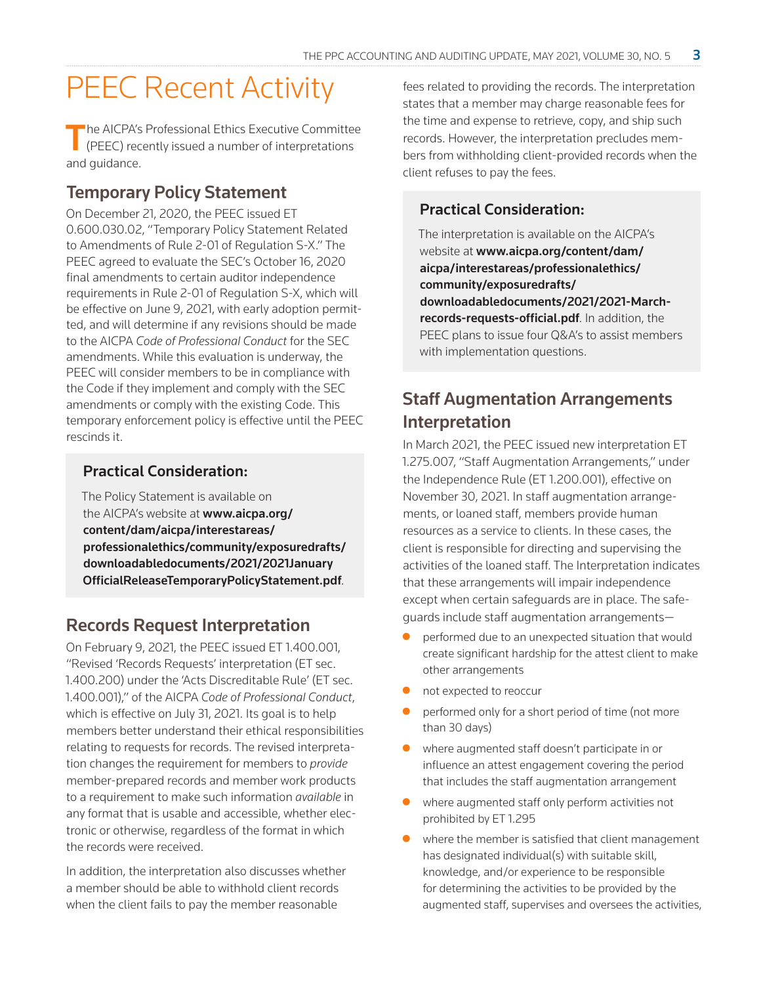## PEEC Recent Activity

The AICPA's Professional Ethics Executive Committee (PEEC) recently issued a number of interpretations and guidance.

### Temporary Policy Statement

On December 21, 2020, the PEEC issued ET 0.600.030.02, "Temporary Policy Statement Related to Amendments of Rule 2-01 of Regulation S-X." The PEEC agreed to evaluate the SEC's October 16, 2020 final amendments to certain auditor independence requirements in Rule 2-01 of Regulation S-X, which will be effective on June 9, 2021, with early adoption permitted, and will determine if any revisions should be made to the AICPA *Code of Professional Conduct* for the SEC amendments. While this evaluation is underway, the PEEC will consider members to be in compliance with the Code if they implement and comply with the SEC amendments or comply with the existing Code. This temporary enforcement policy is effective until the PEEC rescinds it.

#### Practical Consideration:

The Policy Statement is available on the AICPA's website at **[www.aicpa.org/](https://www.aicpa.org/content/dam/aicpa/interestareas/professionalethics/community/exposuredrafts/downloadabledocuments/2021/2021JanuaryOfficialReleaseTemporaryPolicyStatement.pdf)** [content/dam/aicpa/interestareas/](https://www.aicpa.org/content/dam/aicpa/interestareas/professionalethics/community/exposuredrafts/downloadabledocuments/2021/2021JanuaryOfficialReleaseTemporaryPolicyStatement.pdf) [professionalethics/community/exposuredrafts/](https://www.aicpa.org/content/dam/aicpa/interestareas/professionalethics/community/exposuredrafts/downloadabledocuments/2021/2021JanuaryOfficialReleaseTemporaryPolicyStatement.pdf) [downloadabledocuments/2021/2021January](https://www.aicpa.org/content/dam/aicpa/interestareas/professionalethics/community/exposuredrafts/downloadabledocuments/2021/2021JanuaryOfficialReleaseTemporaryPolicyStatement.pdf) [OfficialReleaseTemporaryPolicyStatement.pdf](https://www.aicpa.org/content/dam/aicpa/interestareas/professionalethics/community/exposuredrafts/downloadabledocuments/2021/2021JanuaryOfficialReleaseTemporaryPolicyStatement.pdf).

#### Records Request Interpretation

On February 9, 2021, the PEEC issued ET 1.400.001, "Revised 'Records Requests' interpretation (ET sec. 1.400.200) under the 'Acts Discreditable Rule' (ET sec. 1.400.001)," of the AICPA *Code of Professional Conduct*, which is effective on July 31, 2021. Its goal is to help members better understand their ethical responsibilities relating to requests for records. The revised interpretation changes the requirement for members to *provide* member-prepared records and member work products to a requirement to make such information *available* in any format that is usable and accessible, whether electronic or otherwise, regardless of the format in which the records were received.

In addition, the interpretation also discusses whether a member should be able to withhold client records when the client fails to pay the member reasonable

fees related to providing the records. The interpretation states that a member may charge reasonable fees for the time and expense to retrieve, copy, and ship such records. However, the interpretation precludes members from withholding client-provided records when the client refuses to pay the fees.

#### Practical Consideration:

The interpretation is available on the AICPA's website at [www.aicpa.org/content/dam/](https://www.aicpa.org/content/dam/aicpa/interestareas/professionalethics/community/exposuredrafts/downloadabledocuments/2021/2021-March-records-requests-official.pdf) [aicpa/interestareas/professionalethics/](https://www.aicpa.org/content/dam/aicpa/interestareas/professionalethics/community/exposuredrafts/downloadabledocuments/2021/2021-March-records-requests-official.pdf) [community/exposuredrafts/](https://www.aicpa.org/content/dam/aicpa/interestareas/professionalethics/community/exposuredrafts/downloadabledocuments/2021/2021-March-records-requests-official.pdf) [downloadabledocuments/2021/2021-March](https://www.aicpa.org/content/dam/aicpa/interestareas/professionalethics/community/exposuredrafts/downloadabledocuments/2021/2021-March-records-requests-official.pdf)[records-requests-official.pdf](https://www.aicpa.org/content/dam/aicpa/interestareas/professionalethics/community/exposuredrafts/downloadabledocuments/2021/2021-March-records-requests-official.pdf). In addition, the PEEC plans to issue four Q&A's to assist members with implementation questions.

### Staff Augmentation Arrangements Interpretation

In March 2021, the PEEC issued new interpretation ET 1.275.007, "Staff Augmentation Arrangements," under the Independence Rule (ET 1.200.001), effective on November 30, 2021. In staff augmentation arrangements, or loaned staff, members provide human resources as a service to clients. In these cases, the client is responsible for directing and supervising the activities of the loaned staff. The Interpretation indicates that these arrangements will impair independence except when certain safeguards are in place. The safeguards include staff augmentation arrangements—

- performed due to an unexpected situation that would create significant hardship for the attest client to make other arrangements
- not expected to reoccur
- performed only for a short period of time (not more than 30 days)
- where augmented staff doesn't participate in or influence an attest engagement covering the period that includes the staff augmentation arrangement
- where augmented staff only perform activities not prohibited by ET 1.295
- where the member is satisfied that client management has designated individual(s) with suitable skill, knowledge, and/or experience to be responsible for determining the activities to be provided by the augmented staff, supervises and oversees the activities,